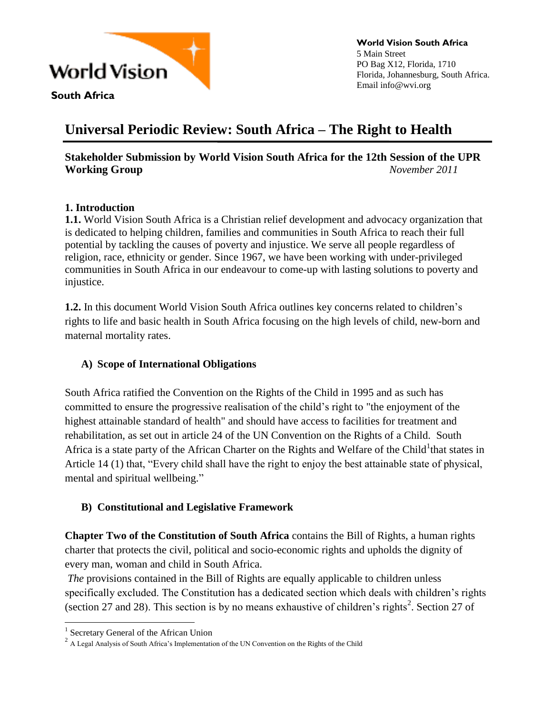

**South Africa** 

**World Vision South Africa** 5 Main Street PO Bag X12, Florida, 1710 Florida, Johannesburg, South Africa. Email info@wvi.org

# **Universal Periodic Review: South Africa – The Right to Health**

# **Stakeholder Submission by World Vision South Africa for the 12th Session of the UPR Working Group** *November 2011*

# **1. Introduction**

**1.1.** World Vision South Africa is a Christian relief development and advocacy organization that is dedicated to helping children, families and communities in South Africa to reach their full potential by tackling the causes of poverty and injustice. We serve all people regardless of religion, race, ethnicity or gender. Since 1967, we have been working with under-privileged communities in South Africa in our endeavour to come-up with lasting solutions to poverty and injustice.

**1.2.** In this document World Vision South Africa outlines key concerns related to children's rights to life and basic health in South Africa focusing on the high levels of child, new-born and maternal mortality rates.

# **A) Scope of International Obligations**

South Africa ratified the Convention on the Rights of the Child in 1995 and as such has committed to ensure the progressive realisation of the child's right to "the enjoyment of the highest attainable standard of health" and should have access to facilities for treatment and rehabilitation, as set out in [article 24](http://www.crin.org/docs/resources/treaties/uncrc.asp#Twenty_four) of the UN Convention on the Rights of a Child. South Africa is a state party of the African Charter on the Rights and Welfare of the Child<sup>1</sup> that states in Article 14 (1) that, "Every child shall have the right to enjoy the best attainable state of physical, mental and spiritual wellbeing."

# **B) Constitutional and Legislative Framework**

**Chapter Two of the [Constitution of South Africa](http://en.wikipedia.org/wiki/Constitution_of_South_Africa)** contains the Bill of Rights, a [human rights](http://en.wikipedia.org/wiki/Bill_of_rights)  [charter](http://en.wikipedia.org/wiki/Bill_of_rights) that protects the [civil, political](http://en.wikipedia.org/wiki/Civil_and_political_rights) and [socio-economic rights](http://en.wikipedia.org/wiki/Economic,_social_and_cultural_rights) and upholds the dignity of every man, woman and child in South Africa.

*The provisions contained in the Bill of Rights are equally applicable to children unless* specifically excluded. The Constitution has a dedicated section which deals with children's rights (section 27 and 28). This section is by no means exhaustive of children's rights<sup>2</sup>. Section 27 of

 $\overline{a}$ 

<sup>&</sup>lt;sup>1</sup> Secretary General of the African Union

 $2 \text{ A}$  Legal Analysis of South Africa's Implementation of the UN Convention on the Rights of the Child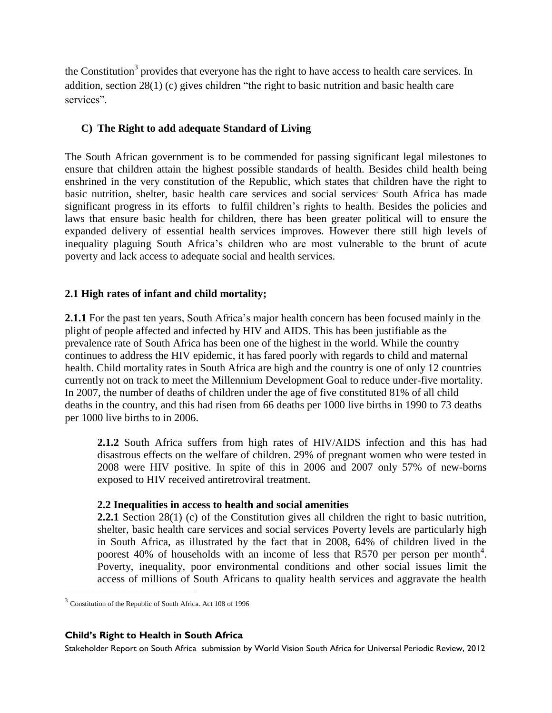the Constitution<sup>3</sup> provides that everyone has the right to have access to health care services. In addition, section 28(1) (c) gives children "the right to basic nutrition and basic health care services".

# **C) The Right to add adequate Standard of Living**

The South African government is to be commended for passing significant legal milestones to ensure that children attain the highest possible standards of health. Besides child health being enshrined in the very constitution of the Republic, which states that children have the right to basic nutrition, shelter, basic health care services and social services' South Africa has made significant progress in its efforts to fulfil children's rights to health. Besides the policies and laws that ensure basic health for children, there has been greater political will to ensure the expanded delivery of essential health services improves. However there still high levels of inequality plaguing South Africa's children who are most vulnerable to the brunt of acute poverty and lack access to adequate social and health services.

# **2.1 High rates of infant and child mortality;**

**2.1.1** For the past ten years, South Africa's major health concern has been focused mainly in the plight of people affected and infected by HIV and AIDS. This has been justifiable as the prevalence rate of South Africa has been one of the highest in the world. While the country continues to address the HIV epidemic, it has fared poorly with regards to child and maternal health. Child mortality rates in South Africa are high and the country is one of only 12 countries currently not on track to meet the Millennium Development Goal to reduce under-five mortality. In 2007, the number of deaths of children under the age of five constituted 81% of all child deaths in the country, and this had risen from 66 deaths per 1000 live births in 1990 to 73 deaths per 1000 live births to in 2006.

**2.1.2** South Africa suffers from high rates of HIV/AIDS infection and this has had disastrous effects on the welfare of children. 29% of pregnant women who were tested in 2008 were HIV positive. In spite of this in 2006 and 2007 only 57% of new-borns exposed to HIV received antiretroviral treatment.

# **2.2 Inequalities in access to health and social amenities**

**2.2.1** Section 28(1) (c) of the Constitution gives all children the right to basic nutrition, shelter, basic health care services and social services Poverty levels are particularly high in South Africa, as illustrated by the fact that in 2008, 64% of children lived in the poorest 40% of households with an income of less that R570 per person per month<sup>4</sup>. Poverty, inequality, poor environmental conditions and other social issues limit the access of millions of South Africans to quality health services and aggravate the health

 $\overline{a}$ 

## **Child's Right to Health in South Africa**

<sup>&</sup>lt;sup>3</sup> Constitution of the Republic of South Africa. Act 108 of 1996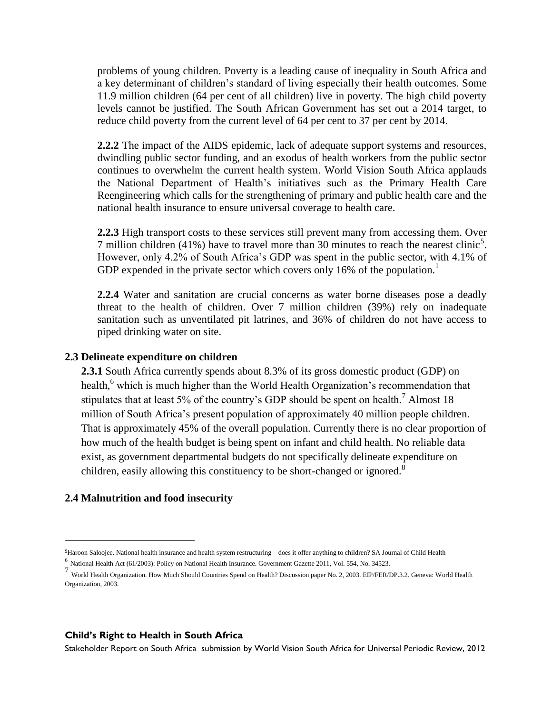problems of young children. Poverty is a leading cause of inequality in South Africa and a key determinant of children's standard of living especially their health outcomes. Some 11.9 million children (64 per cent of all children) live in poverty. The high child poverty levels cannot be justified. The South African Government has set out a 2014 target, to reduce child poverty from the current level of 64 per cent to 37 per cent by 2014.

**2.2.2** The impact of the AIDS epidemic, lack of adequate support systems and resources, dwindling public sector funding, and an exodus of health workers from the public sector continues to overwhelm the current health system. World Vision South Africa applauds the National Department of Health's initiatives such as the Primary Health Care Reengineering which calls for the strengthening of primary and public health care and the national health insurance to ensure universal coverage to health care.

**2.2.3** High transport costs to these services still prevent many from accessing them. Over 7 million children (41%) have to travel more than 30 minutes to reach the nearest clinic<sup>5</sup>. However, only 4.2% of South Africa's GDP was spent in the public sector, with 4.1% of GDP expended in the private sector which covers only 16% of the population.<sup>1</sup>

**2.2.4** Water and sanitation are crucial concerns as water borne diseases pose a deadly threat to the health of children. Over 7 million children (39%) rely on inadequate sanitation such as unventilated pit latrines, and 36% of children do not have access to piped drinking water on site.

## **2.3 Delineate expenditure on children**

**2.3.1** South Africa currently spends about 8.3% of its gross domestic product (GDP) on health,<sup>6</sup> which is much higher than the World Health Organization's recommendation that stipulates that at least 5% of the country's GDP should be spent on health.<sup>7</sup> Almost 18 million of South Africa's present population of approximately 40 million people children. That is approximately 45% of the overall population. Currently there is no clear proportion of how much of the health budget is being spent on infant and child health. No reliable data exist, as government departmental budgets do not specifically delineate expenditure on children, easily allowing this constituency to be short-changed or ignored.<sup>8</sup>

## **2.4 Malnutrition and food insecurity**

 $\overline{a}$ 

## **Child's Right to Health in South Africa**

<sup>5</sup>Haroon Saloojee. National health insurance and health system restructuring – does it offer anything to children? SA Journal of Child Health

<sup>6</sup> National Health Act (61/2003): Policy on National Health Insurance. Government Gazette 2011, Vol. 554, No. 34523.

<sup>7</sup> World Health Organization. How Much Should Countries Spend on Health? Discussion paper No. 2, 2003. EIP/FER/DP.3.2. Geneva: World Health Organization, 2003.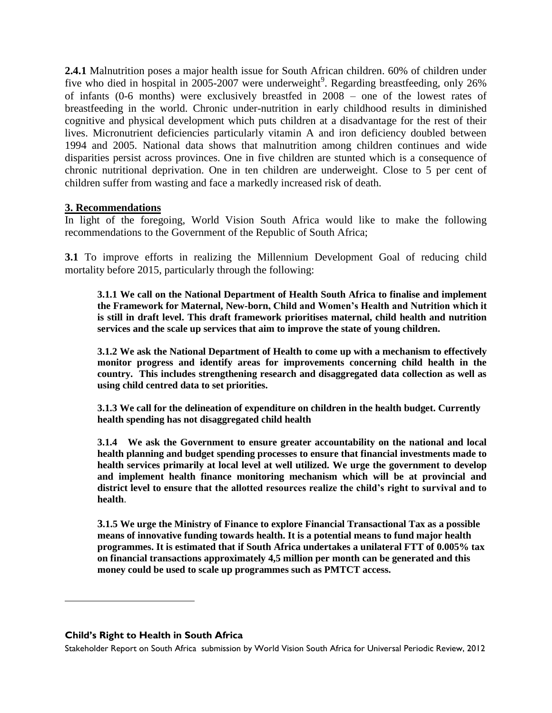**2.4.1** Malnutrition poses a major health issue for South African children. 60% of children under five who died in hospital in  $2005-2007$  were underweight<sup>9</sup>. Regarding breastfeeding, only 26% of infants (0-6 months) were exclusively breastfed in 2008 – one of the lowest rates of breastfeeding in the world. Chronic under-nutrition in early childhood results in diminished cognitive and physical development which puts children at a disadvantage for the rest of their lives. Micronutrient deficiencies particularly vitamin A and iron deficiency doubled between 1994 and 2005. National data shows that malnutrition among children continues and wide disparities persist across provinces. One in five children are stunted which is a consequence of chronic nutritional deprivation. One in ten children are underweight. Close to 5 per cent of children suffer from wasting and face a markedly increased risk of death.

## **3. Recommendations**

In light of the foregoing, World Vision South Africa would like to make the following recommendations to the Government of the Republic of South Africa;

**3.1** To improve efforts in realizing the Millennium Development Goal of reducing child mortality before 2015, particularly through the following:

**3.1.1 We call on the National Department of Health South Africa to finalise and implement the Framework for Maternal, New-born, Child and Women's Health and Nutrition which it is still in draft level. This draft framework prioritises maternal, child health and nutrition services and the scale up services that aim to improve the state of young children.** 

**3.1.2 We ask the National Department of Health to come up with a mechanism to effectively monitor progress and identify areas for improvements concerning child health in the country. This includes strengthening research and disaggregated data collection as well as using child centred data to set priorities.**

**3.1.3 We call for the delineation of expenditure on children in the health budget. Currently health spending has not disaggregated child health** 

**3.1.4 We ask the Government to ensure greater accountability on the national and local health planning and budget spending processes to ensure that financial investments made to health services primarily at local level at well utilized. We urge the government to develop and implement health finance monitoring mechanism which will be at provincial and district level to ensure that the allotted resources realize the child's right to survival and to health**.

**3.1.5 We urge the Ministry of Finance to explore Financial Transactional Tax as a possible means of innovative funding towards health. It is a potential means to fund major health programmes. It is estimated that if South Africa undertakes a unilateral FTT of 0.005% tax on financial transactions approximately 4,5 million per month can be generated and this money could be used to scale up programmes such as PMTCT access.** 

#### **Child's Right to Health in South Africa**

 $\overline{a}$